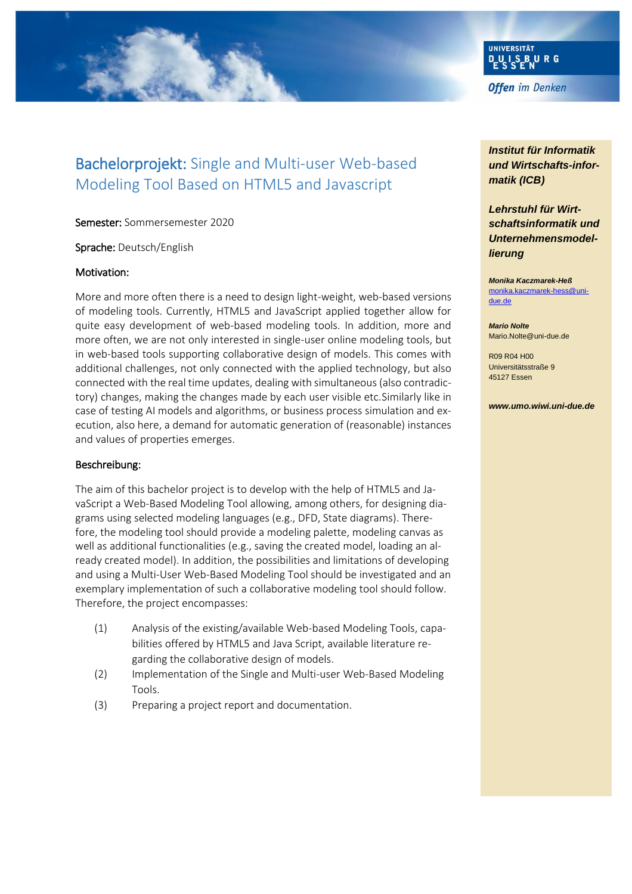

# Bachelorprojekt: Single and Multi-user Web-based Modeling Tool Based on HTML5 and Javascript

Semester: Sommersemester 2020

Sprache: Deutsch/English

#### Motivation:

More and more often there is a need to design light-weight, web-based versions of modeling tools. Currently, HTML5 and JavaScript applied together allow for quite easy development of web-based modeling tools. In addition, more and more often, we are not only interested in single-user online modeling tools, but in web-based tools supporting collaborative design of models. This comes with additional challenges, not only connected with the applied technology, but also connected with the real time updates, dealing with simultaneous (also contradictory) changes, making the changes made by each user visible etc.Similarly like in case of testing AI models and algorithms, or business process simulation and execution, also here, a demand for automatic generation of (reasonable) instances and values of properties emerges.

#### Beschreibung:

The aim of this bachelor project is to develop with the help of HTML5 and JavaScript a Web-Based Modeling Tool allowing, among others, for designing diagrams using selected modeling languages (e.g., DFD, State diagrams). Therefore, the modeling tool should provide a modeling palette, modeling canvas as well as additional functionalities (e.g., saving the created model, loading an already created model). In addition, the possibilities and limitations of developing and using a Multi-User Web-Based Modeling Tool should be investigated and an exemplary implementation of such a collaborative modeling tool should follow. Therefore, the project encompasses:

- (1) Analysis of the existing/available Web-based Modeling Tools, capabilities offered by HTML5 and Java Script, available literature regarding the collaborative design of models.
- (2) Implementation of the Single and Multi-user Web-Based Modeling Tools.
- (3) Preparing a project report and documentation.

## *Institut für Informatik und Wirtschafts-informatik (ICB)*

*Lehrstuhl für Wirtschaftsinformatik und Unternehmensmodellierung*

*Monika Kaczmarek-Heß* [monika.kaczmarek-hess@uni](mailto:monika.kaczmarek-hess@uni-due.de)[due.de](mailto:monika.kaczmarek-hess@uni-due.de)

*Mario Nolte* Mario.Nolte@uni-due.de

R09 R04 H00 Universitätsstraße 9 45127 Essen

*www.umo.wiwi.uni-due.de*